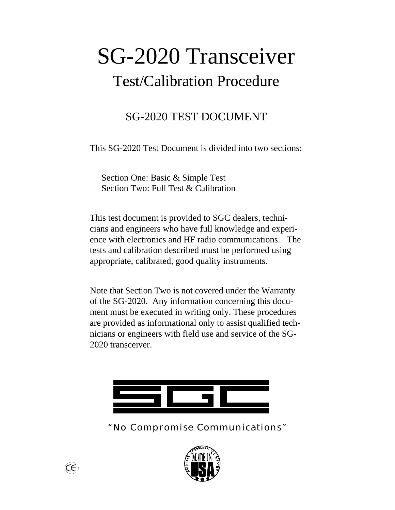# SG-2020 Transceiver Test/Calibration Procedure

# SG-2020 TEST DOCUMENT

This SG-2020 Test Document is divided into two sections:

Section One: Basic & Simple Test Section Two: Full Test & Calibration

This test document is provided to SGC dealers, technicians and engineers who have full knowledge and experience with electronics and HF radio communications. The tests and calibration described must be performed using appropriate, calibrated, good quality instruments.

Note that Section Two is not covered under the Warranty of the SG-2020. Any information concerning this document must be executed in writing only. These procedures are provided as informational only to assist qualified technicians or engineers with field use and service of the SG-2020 transceiver.



*"No Compromise Communications"*



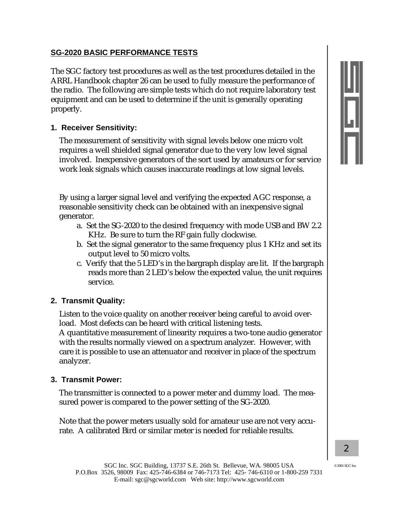# **SG-2020 BASIC PERFORMANCE TESTS**

The SGC factory test procedures as well as the test procedures detailed in the ARRL Handbook chapter 26 can be used to fully measure the performance of the radio. The following are simple tests which do not require laboratory test equipment and can be used to determine if the unit is generally operating properly.

# **1. Receiver Sensitivity:**

The measurement of sensitivity with signal levels below one micro volt requires a well shielded signal generator due to the very low level signal involved. Inexpensive generators of the sort used by amateurs or for service work leak signals which causes inaccurate readings at low signal levels.

By using a larger signal level and verifying the expected AGC response, a reasonable sensitivity check can be obtained with an inexpensive signal generator.

- a. Set the SG-2020 to the desired frequency with mode USB and BW 2.2 KHz. Be sure to turn the RF gain fully clockwise.
- b. Set the signal generator to the same frequency plus 1 KHz and set its output level to 50 micro volts.
- c. Verify that the 5 LED's in the bargraph display are lit. If the bargraph reads more than 2 LED's below the expected value, the unit requires service.

#### **2. Transmit Quality:**

Listen to the voice quality on another receiver being careful to avoid overload. Most defects can be heard with critical listening tests.

A quantitative measurement of linearity requires a two-tone audio generator with the results normally viewed on a spectrum analyzer. However, with care it is possible to use an attenuator and receiver in place of the spectrum analyzer.

#### **3. Transmit Power:**

The transmitter is connected to a power meter and dummy load. The measured power is compared to the power setting of the SG-2020.

Note that the power meters usually sold for amateur use are not very accurate. A calibrated Bird or similar meter is needed for reliable results.

 $@$  2001 SGC In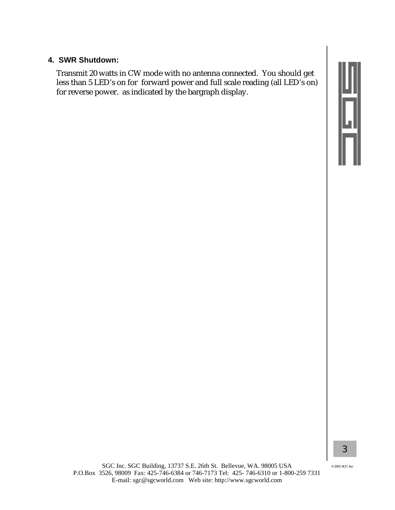#### **4. SWR Shutdown:**

Transmit 20 watts in CW mode with no antenna connected. You should get less than 5 LED's on for forward power and full scale reading (all LED's on) for reverse power. as indicated by the bargraph display.

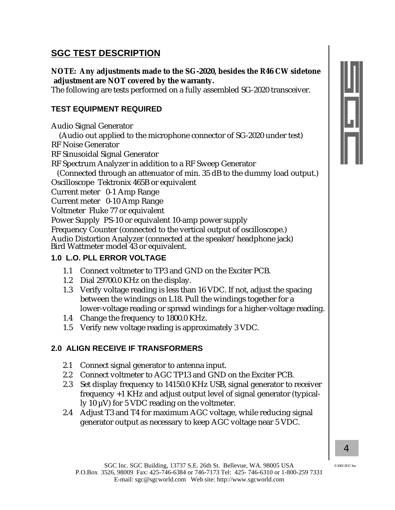# **SGC TEST DESCRIPTION**

**NOTE: Any adjustments made to the SG-2020, besides the R46 CW sidetone adjustment are NOT covered by the warranty.**

The following are tests performed on a fully assembled SG-2020 transceiver.

# **TEST EQUIPMENT REQUIRED**

Audio Signal Generator

(Audio out applied to the microphone connector of SG-2020 under test) RF Noise Generator

RF Sinusoidal Signal Generator

RF Spectrum Analyzer in addition to a RF Sweep Generator

(Connected through an attenuator of min. 35 dB to the dummy load output.) Oscilloscope Tektronix 465B or equivalent

Current meter 0-1 Amp Range

Current meter 0-10 Amp Range

Voltmeter Fluke 77 or equivalent

Power Supply PS-10 or equivalent 10-amp power supply

Frequency Counter (connected to the vertical output of oscilloscope.)

Audio Distortion Analyzer (connected at the speaker/headphone jack) Bird Wattmeter model 43 or equivalent.

# **1.0 L.O. PLL ERROR VOLTAGE**

- 1.1 Connect voltmeter to TP3 and GND on the Exciter PCB.
- 1.2 Dial 29700.0 KHz on the display.
- 1.3 Verify voltage reading is less than 16 VDC. If not, adjust the spacing between the windings on L18. Pull the windings together for a lower-voltage reading or spread windings for a higher-voltage reading.
- 1.4 Change the frequency to 1800.0 KHz.
- 1.5 Verify new voltage reading is approximately 3 VDC.

# **2.0 ALIGN RECEIVE IF TRANSFORMERS**

- 2.1 Connect signal generator to antenna input.
- 2.2 Connect voltmeter to AGC TP13 and GND on the Exciter PCB.
- 2.3 Set display frequency to 14150.0 KHz USB, signal generator to receiver frequency +1 KHz and adjust output level of signal generator (typically 10 µV) for 5 VDC reading on the voltmeter.
- 2.4 Adjust T3 and T4 for maximum AGC voltage, while reducing signal generator output as necessary to keep AGC voltage near 5 VDC.



 $@$  2001 SGC In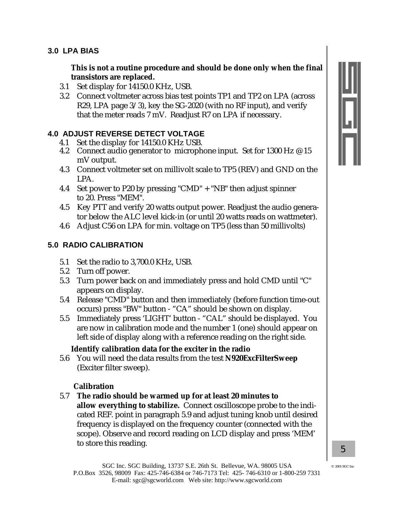#### **3.0 LPA BIAS**

**This is not a routine procedure and should be done only when the final transistors are replaced.**

- 3.1 Set display for 14150.0 KHz, USB.
- 3.2 Connect voltmeter across bias test points TP1 and TP2 on LPA (across R29, LPA page 3/3), key the SG-2020 (with no RF input), and verify that the meter reads 7 mV. Readjust R7 on LPA if necessary.

# **4.0 ADJUST REVERSE DETECT VOLTAGE**

- 4.1 Set the display for 14150.0 KHz USB.
- 4.2 Connect audio generator to microphone input. Set for 1300 Hz @ 15 mV output.
- 4.3 Connect voltmeter set on millivolt scale to TP5 (REV) and GND on the LPA.
- 4.4 Set power to P20 by pressing "CMD" + "NB" then adjust spinner to 20. Press "MEM".
- 4.5 Key PTT and verify 20 watts output power. Readjust the audio generator below the ALC level kick-in (or until 20 watts reads on wattmeter).
- 4.6 Adjust C56 on LPA for min. voltage on TP5 (less than 50 millivolts)

# **5.0 RADIO CALIBRATION**

- 5.1 Set the radio to 3,700.0 KHz, USB.
- 5.2 Turn off power.
- 5.3 Turn power back on and immediately press and hold CMD until "C" appears on display.
- 5.4 Release "CMD" button and then immediately (before function time-out occurs) press "BW" button - "CA" should be shown on display.
- 5.5 Immediately press 'LIGHT' button "CAL" should be displayed. You are now in calibration mode and the number 1 (one) should appear on left side of display along with a reference reading on the right side.

#### **Identify calibration data for the exciter in the radio**

5.6 You will need the data results from the test **N920ExcFilterSweep** (Exciter filter sweep).

#### **Calibration**

5.7 **The radio should be warmed up for at least 20 minutes to allow everything to stabilize.** Connect oscilloscope probe to the indicated REF. point in paragraph 5.9 and adjust tuning knob until desired frequency is displayed on the frequency counter (connected with the scope). Observe and record reading on LCD display and press 'MEM' to store this reading.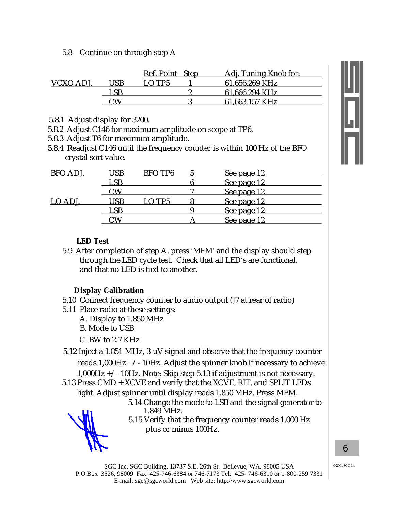5.8 Continue on through step A

|          | Ref. Point Step | Adi. Tuning Knob for: |
|----------|-----------------|-----------------------|
| VCXO ADI |                 | 61.656.269 KHz        |
|          |                 | 61.666.294 KHz        |
|          |                 | 61 663 157 KHz        |

- 5.8.1 Adjust display for 3200.
- 5.8.2 Adjust C146 for maximum amplitude on scope at TP6.
- 5.8.3 Adjust T6 for maximum amplitude.
- 5.8.4 Readjust C146 until the frequency counter is within 100 Hz of the BFO crystal sort value.

| <b>BFO A</b> |     | RFO TP6 | See page 12 |  |
|--------------|-----|---------|-------------|--|
|              | LSB |         | See page 12 |  |
|              |     |         | See page 12 |  |
| LO ADJ.      |     | O TP5   | See page 12 |  |
|              | _SE |         | See page 12 |  |
|              |     |         | See page 12 |  |

#### **LED Test**

5.9 After completion of step A, press 'MEM' and the display should step through the LED cycle test. Check that all LED's are functional, and that no LED is tied to another.

#### **Display Calibration**

- 5.10 Connect frequency counter to audio output (J7 at rear of radio)
- 5.11 Place radio at these settings:
	- A. Display to 1.850 MHz
	- B. Mode to USB
	- C. BW to 2.7 KHz

5.12 Inject a 1.851-MHz, 3-uV signal and observe that the frequency counter reads  $1,000$ Hz  $+/- 10$ Hz. Adjust the spinner knob if necessary to achieve 1,000Hz +/- 10Hz. Note: Skip step 5.13 if adjustment is not necessary.

5.13 Press CMD + XCVE and verify that the XCVE, RIT, and SPLIT LEDs light. Adjust spinner until display reads 1.850 MHz. Press MEM.

> . 5.14 Change the mode to LSB and the signal generator to 1.849 MHz.

5.15 Verify that the frequency counter reads 1,000 Hz plus or minus 100Hz.

© 2001 SGC Inc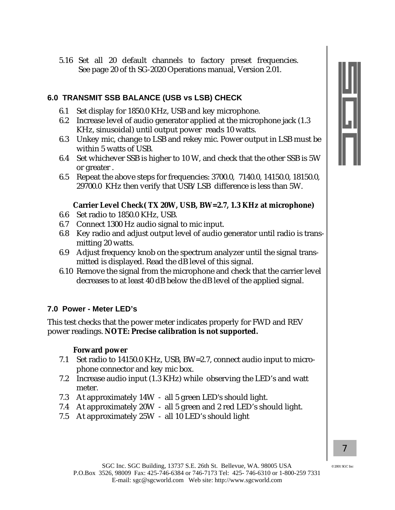5.16 Set all 20 default channels to factory preset frequencies. See page 20 of th SG-2020 Operations manual, Version 2.01.

# **6.0 TRANSMIT SSB BALANCE (USB vs LSB) CHECK**

- 6.1 Set display for 1850.0 KHz, USB and key microphone.
- 6.2 Increase level of audio generator applied at the microphone jack (1.3 KHz, sinusoidal) until output power reads 10 watts.
- 6.3 Unkey mic, change to LSB and rekey mic. Power output in LSB must be within 5 watts of USB.
- 6.4 Set whichever SSB is higher to 10 W, and check that the other SSB is 5W or greater .
- 6.5 Repeat the above steps for frequencies: 3700.0, 7140.0, 14150.0, 18150.0, 29700.0 KHz then verify that USB/LSB difference is less than 5W.

#### **Carrier Level Check( TX 20W, USB, BW=2.7, 1.3 KHz at microphone)**

- 6.6 Set radio to 1850.0 KHz, USB.
- 6.7 Connect 1300 Hz audio signal to mic input.
- 6.8 Key radio and adjust output level of audio generator until radio is transmitting 20 watts.
- 6.9 Adjust frequency knob on the spectrum analyzer until the signal transmitted is displayed. Read the dB level of this signal.
- 6.10 Remove the signal from the microphone and check that the carrier level decreases to at least 40 dB below the dB level of the applied signal.

#### **7.0 Power - Meter LED's**

This test checks that the power meter indicates properly for FWD and REV power readings. **NOTE: Precise calibration is not supported.**

#### **Forward power**

- 7.1 Set radio to 14150.0 KHz, USB, BW=2.7, connect audio input to microphone connector and key mic box.
- 7.2 Increase audio input (1.3 KHz) while observing the LED's and watt meter.
- 7.3 At approximately 14W all 5 green LED's should light.
- 7.4 At approximately 20W all 5 green and 2 red LED's should light.
- 7.5 At approximately 25W all 10 LED's should light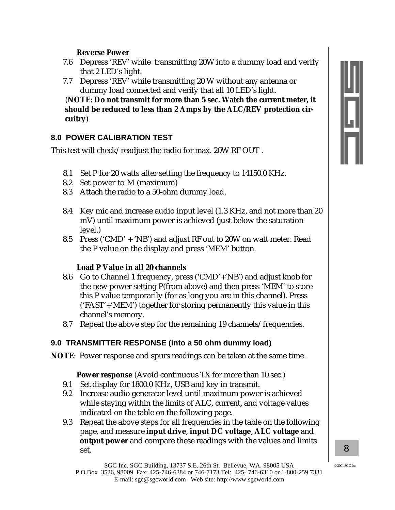#### **Reverse Power**

- 7.6 Depress 'REV' while transmitting 20W into a dummy load and verify that 2 LED's light.
- 7.7 Depress 'REV' while transmitting 20 W without any antenna or dummy load connected and verify that all 10 LED's light.

(**NOTE: Do not transmit for more than 5 sec. Watch the current meter, it should be reduced to less than 2 Amps by the ALC/REV protection circuitry**)

# **8.0 POWER CALIBRATION TEST**

This test will check/readjust the radio for max. 20W RF OUT .

- 8.1 Set P for 20 watts after setting the frequency to 14150.0 KHz.
- 8.2 Set power to M (maximum)
- 8.3 Attach the radio to a 50-ohm dummy load.
- 8.4 Key mic and increase audio input level (1.3 KHz, and not more than 20 mV) until maximum power is achieved (just below the saturation level.)
- 8.5 Press ('CMD' + 'NB') and adjust RF out to 20W on watt meter. Read the P value on the display and press 'MEM' button.

# **Load P Value in all 20 channels**

- 8.6 Go to Channel 1 frequency, press ('CMD'+'NB') and adjust knob for the new power setting P(from above) and then press 'MEM' to store this P value temporarily (for as long you are in this channel). Press ('FAST'+'MEM') together for storing permanently this value in this channel's memory.
- 8.7 Repeat the above step for the remaining 19 channels/frequencies.

# **9.0 TRANSMITTER RESPONSE (into a 50 ohm dummy load)**

**NOTE**: Power response and spurs readings can be taken at the same time.

**Power response** (Avoid continuous TX for more than 10 sec.)

- 9.1 Set display for 1800.0 KHz, USB and key in transmit.
- 9.2 Increase audio generator level until maximum power is achieved while staying within the limits of ALC, current, and voltage values indicated on the table on the following page.
- 9.3 Repeat the above steps for all frequencies in the table on the following page, and measure **input drive**, **input DC voltage**, **ALC voltage** and **output power** and compare these readings with the values and limits set.

*8*

2001 SGC In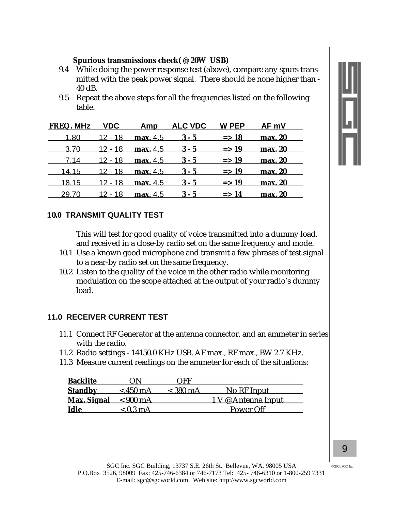#### **Spurious transmissions check( @ 20W USB)**

- 9.4 While doing the power response test (above), compare any spurs transmitted with the peak power signal. There should be none higher than - 40 dB.
- 9.5 Repeat the above steps for all the frequencies listed on the following table.

| FREQ. MHz VDC Amp ALC VDC W PEP AF mV |  |                                                               |                  |         |  |
|---------------------------------------|--|---------------------------------------------------------------|------------------|---------|--|
|                                       |  | 1.80 $12 - 18$ max, 4.5 $3 - 5$ => 18 max, 20                 |                  |         |  |
|                                       |  | $3.70$ $12 - 18$ max, $4.5$ $3 - 5$ $\implies$ 19 max, 20     |                  |         |  |
|                                       |  | 7.14 12 - 18 max. 4.5 3 - 5 = > 19 max. 20                    |                  |         |  |
|                                       |  | $14.15$ 12 - 18 max. 4.5 $3-5$ = > 19 max. 20                 |                  |         |  |
|                                       |  | $18.15$ $12 - 18$ max, $4.5$ $3 - 5$ $\Rightarrow 19$ max, 20 |                  |         |  |
| 29.70                                 |  | $12 - 18$ max. 4.5 $3 - 5$                                    | $\Rightarrow$ 14 | max. 20 |  |

#### **10.0 TRANSMIT QUALITY TEST**

This will test for good quality of voice transmitted into a dummy load, and received in a close-by radio set on the same frequency and mode.

- 10.1 Use a known good microphone and transmit a few phrases of test signal to a near-by radio set on the same frequency.
- 10.2 Listen to the quality of the voice in the other radio while monitoring modulation on the scope attached at the output of your radio's dummy load.

#### **11.0 RECEIVER CURRENT TEST**

- 11.1 Connect RF Generator at the antenna connector, and an ammeter in series with the radio.
- 11.2 Radio settings 14150.0 KHz USB, AF max., RF max., BW 2.7 KHz.
- 11.3 Measure current readings on the ammeter for each of the situations:

| <b>Backlite</b>    | . IN               | ( ) F F    |                     |
|--------------------|--------------------|------------|---------------------|
| <b>Standby</b>     | $<$ 450 mA         | $<$ 380 mA | No RF Input         |
| <b>Max. Signal</b> | $< 900 \text{ mA}$ |            | 1 V @ Antenna Input |
| Idle               | $< 0.3 \text{ mA}$ |            | Power Off           |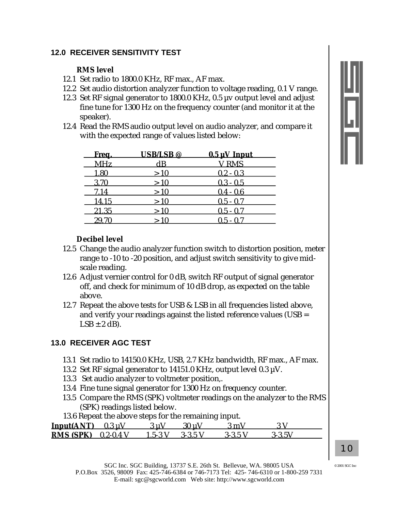# **12.0 RECEIVER SENSITIVITY TEST**

#### **RMS level**

- 12.1 Set radio to 1800.0 KHz, RF max., AF max.
- 12.2 Set audio distortion analyzer function to voltage reading, 0.1 V range.
- 12.3 Set RF signal generator to 1800.0 KHz, 0.5 µv output level and adjust fine tune for 1300 Hz on the frequency counter (and monitor it at the speaker).
- 12.4 Read the RMS audio output level on audio analyzer, and compare it with the expected range of values listed below:

| <u>Freq.</u> | <b>USB/LSB</b> <sup>@</sup> | $0.5 \mu V$ Input |
|--------------|-----------------------------|-------------------|
| <b>MHz</b>   | $\mathrm{dB}$               | V RMS             |
| 1.80         | >10                         | $0.2 - 0.3$       |
| 3.70         | >10                         | $0.3 - 0.5$       |
| 7.14         | >10                         | $0.4 - 0.6$       |
| 14.15        | >10                         | $0.5 - 0.7$       |
| 21.35        | >10                         | $0.5 - 0.7$       |
| 29.70        |                             | $0.5 - 0.7$       |



#### **Decibel level**

- 12.5 Change the audio analyzer function switch to distortion position, meter range to -10 to -20 position, and adjust switch sensitivity to give midscale reading.
- 12.6 Adjust vernier control for 0 dB, switch RF output of signal generator off, and check for minimum of 10 dB drop, as expected on the table above.
- 12.7 Repeat the above tests for USB & LSB in all frequencies listed above, and verify your readings against the listed reference values (USB =  $LSB \pm 2$  dB).

# **13.0 RECEIVER AGC TEST**

- 13.1 Set radio to 14150.0 KHz, USB, 2.7 KHz bandwidth, RF max., AF max.
- 13.2 Set RF signal generator to 14151.0 KHz, output level 0.3  $\mu$ V.
- 13.3 Set audio analyzer to voltmeter position,.
- 13.4 Fine tune signal generator for 1300 Hz on frequency counter.
- 13.5 Compare the RMS (SPK) voltmeter readings on the analyzer to the RMS (SPK) readings listed below.
- 13.6 Repeat the above steps for the remaining input.

| $Input(ANT)$ 0.3 uV            |         | 30 u V   | 2 m L   |        |  |
|--------------------------------|---------|----------|---------|--------|--|
| <b>RMS (SPK)</b> $0.2 - 0.4$ V | $15-3V$ | $-2.35V$ | 3-3 5 V | 3-3 5V |  |

*10*

 $@$  2001 SGC In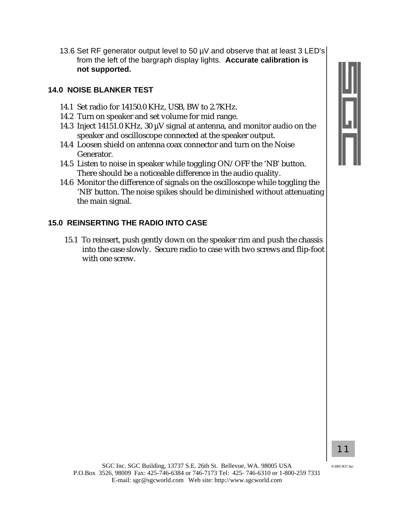- 
- 13.6 Set RF generator output level to 50 µV and observe that at least 3 LED's from the left of the bargraph display lights. **Accurate calibration is not supported.**

#### **14.0 NOISE BLANKER TEST**

- 14.1 Set radio for 14150.0 KHz, USB, BW to 2.7KHz.
- 14.2 Turn on speaker and set volume for mid range.
- 14.3 Inject 14151.0 KHz, 30 µV signal at antenna, and monitor audio on the speaker and oscilloscope connected at the speaker output.
- 14.4 Loosen shield on antenna coax connector and turn on the Noise Generator.
- 14.5 Listen to noise in speaker while toggling ON/OFF the 'NB' button. There should be a noticeable difference in the audio quality.
- 14.6 Monitor the difference of signals on the oscilloscope while toggling the 'NB' button. The noise spikes should be diminished without attenuating the main signal.

# **15.0 REINSERTING THE RADIO INTO CASE**

15.1 To reinsert, push gently down on the speaker rim and push the chassis into the case slowly. Secure radio to case with two screws and flip-foot with one screw.